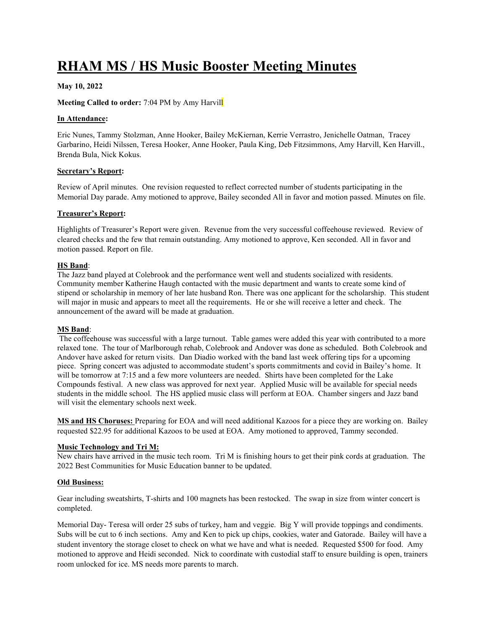# RHAM MS / HS Music Booster Meeting Minutes

## May 10, 2022

## Meeting Called to order: 7:04 PM by Amy Harvill

## In Attendance:

Eric Nunes, Tammy Stolzman, Anne Hooker, Bailey McKiernan, Kerrie Verrastro, Jenichelle Oatman, Tracey Garbarino, Heidi Nilssen, Teresa Hooker, Anne Hooker, Paula King, Deb Fitzsimmons, Amy Harvill, Ken Harvill., Brenda Bula, Nick Kokus.

## Secretary's Report:

Review of April minutes. One revision requested to reflect corrected number of students participating in the Memorial Day parade. Amy motioned to approve, Bailey seconded All in favor and motion passed. Minutes on file.

## Treasurer's Report:

Highlights of Treasurer's Report were given. Revenue from the very successful coffeehouse reviewed. Review of cleared checks and the few that remain outstanding. Amy motioned to approve, Ken seconded. All in favor and motion passed. Report on file.

## HS Band:

The Jazz band played at Colebrook and the performance went well and students socialized with residents. Community member Katherine Haugh contacted with the music department and wants to create some kind of stipend or scholarship in memory of her late husband Ron. There was one applicant for the scholarship. This student will major in music and appears to meet all the requirements. He or she will receive a letter and check. The announcement of the award will be made at graduation.

## MS Band:

 The coffeehouse was successful with a large turnout. Table games were added this year with contributed to a more relaxed tone. The tour of Marlborough rehab, Colebrook and Andover was done as scheduled. Both Colebrook and Andover have asked for return visits. Dan Diadio worked with the band last week offering tips for a upcoming piece. Spring concert was adjusted to accommodate student's sports commitments and covid in Bailey's home. It will be tomorrow at 7:15 and a few more volunteers are needed. Shirts have been completed for the Lake Compounds festival. A new class was approved for next year. Applied Music will be available for special needs students in the middle school. The HS applied music class will perform at EOA. Chamber singers and Jazz band will visit the elementary schools next week.

MS and HS Choruses: Preparing for EOA and will need additional Kazoos for a piece they are working on. Bailey requested \$22.95 for additional Kazoos to be used at EOA. Amy motioned to approved, Tammy seconded.

## Music Technology and Tri M:

New chairs have arrived in the music tech room. Tri M is finishing hours to get their pink cords at graduation. The 2022 Best Communities for Music Education banner to be updated.

## Old Business:

Gear including sweatshirts, T-shirts and 100 magnets has been restocked. The swap in size from winter concert is completed.

Memorial Day- Teresa will order 25 subs of turkey, ham and veggie. Big Y will provide toppings and condiments. Subs will be cut to 6 inch sections. Amy and Ken to pick up chips, cookies, water and Gatorade. Bailey will have a student inventory the storage closet to check on what we have and what is needed. Requested \$500 for food. Amy motioned to approve and Heidi seconded. Nick to coordinate with custodial staff to ensure building is open, trainers room unlocked for ice. MS needs more parents to march.